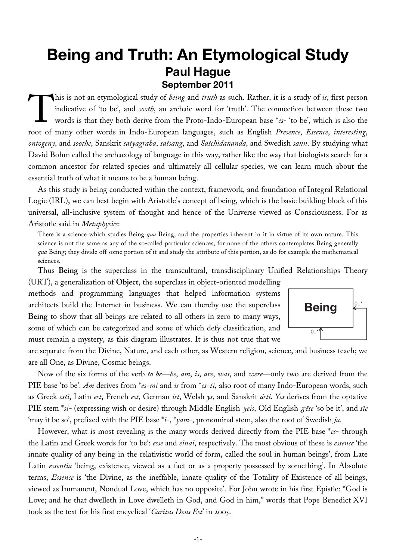# **Being and Truth: An Etymological Study Paul Hague September 2011**

his is not an etymological study of *being* and *truth* as such. Rather, it is a study of *is*, first person indicative of 'to be', and *sooth*, an archaic word for 'truth'. The connection between these two words is that they both derive from the Proto-Indo-European base \**es*- 'to be', which is also the root of many other words in Indo-European languages, such as English *Presence*, *Essence*, *interesting*, *ontogeny*, and *soothe*, Sanskrit *satyagraha*, *satsang*, and *Satchidananda*, and Swedish *sann*. By studying what David Bohm called the archaeology of language in this way, rather like the way that biologists search for a common ancestor for related species and ultimately all cellular species, we can learn much about the essential truth of what it means to be a human being.  $\prod$ 

As this study is being conducted within the context, framework, and foundation of Integral Relational Logic (IRL), we can best begin with Aristotle's concept of being, which is the basic building block of this universal, all-inclusive system of thought and hence of the Universe viewed as Consciousness. For as Aristotle said in *Metaphysics*:

There is a science which studies Being *qua* Being, and the properties inherent in it in virtue of its own nature. This science is not the same as any of the so-called particular sciences, for none of the others contemplates Being generally *qua* Being; they divide off some portion of it and study the attribute of this portion, as do for example the mathematical sciences.

Thus **Being** is the superclass in the transcultural, transdisciplinary Unified Relationships Theory (URT), a generalization of **Object**, the superclass in object-oriented modelling

methods and programming languages that helped information systems architects build the Internet in business. We can thereby use the superclass **Being** to show that all beings are related to all others in zero to many ways, some of which can be categorized and some of which defy classification, and must remain a mystery, as this diagram illustrates. It is thus not true that we



are separate from the Divine, Nature, and each other, as Western religion, science, and business teach; we are all One, as Divine, Cosmic beings.

Now of the six forms of the verb *to be*—*be*, *am*, *is*, *are*, *was*, and *were*—only two are derived from the PIE base 'to be'. *Am* derives from \**es-mi* and *is* from \**es-ti*, also root of many Indo-European words, such as Greek *esti*, Latin *est*, French *est*, German *ist*, Welsh *ys*, and Sanskrit *ásti*. *Yes* derives from the optative PIE stem  $*$ *si*- (expressing wish or desire) through Middle English *zeis*, Old English  $\bar{\chi}$ *ēse* 'so be it', and *sīe* 'may it be so', prefixed with the PIE base \**i*-, \**yam*-, pronominal stem, also the root of Swedish *ja*.

However, what is most revealing is the many words derived directly from the PIE base \**es*- through the Latin and Greek words for 'to be': *esse* and *einai*, respectively. The most obvious of these is *essence* 'the innate quality of any being in the relativistic world of form, called the soul in human beings', from Late Latin *essentia* 'being, existence, viewed as a fact or as a property possessed by something'. In Absolute terms, *Essence* is 'the Divine, as the ineffable, innate quality of the Totality of Existence of all beings, viewed as Immanent, Nondual Love, which has no opposite'. For John wrote in his first Epistle: "God is Love; and he that dwelleth in Love dwelleth in God, and God in him," words that Pope Benedict XVI took as the text for his first encyclical '*Caritas Deus Est*' in 2005.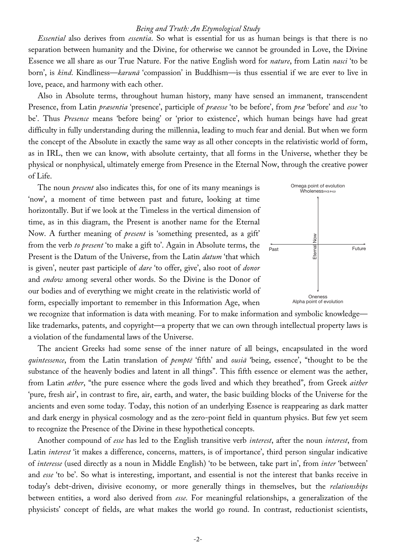*Essential* also derives from *essentia*. So what is essential for us as human beings is that there is no separation between humanity and the Divine, for otherwise we cannot be grounded in Love, the Divine Essence we all share as our True Nature. For the native English word for *nature*, from Latin *nasci* 'to be born', is *kind*. Kindliness—*karunā* 'compassion' in Buddhism—is thus essential if we are ever to live in love, peace, and harmony with each other.

Also in Absolute terms, throughout human history, many have sensed an immanent, transcendent Presence, from Latin *præsentia* 'presence', participle of *præesse* 'to be before', from *præ* 'before' and *esse* 'to be'. Thus *Presence* means 'before being' or 'prior to existence', which human beings have had great difficulty in fully understanding during the millennia, leading to much fear and denial. But when we form the concept of the Absolute in exactly the same way as all other concepts in the relativistic world of form, as in IRL, then we can know, with absolute certainty, that all forms in the Universe, whether they be physical or nonphysical, ultimately emerge from Presence in the Eternal Now, through the creative power of Life.

The noun *present* also indicates this, for one of its many meanings is 'now', a moment of time between past and future, looking at time horizontally. But if we look at the Timeless in the vertical dimension of time, as in this diagram, the Present is another name for the Eternal Now. A further meaning of *present* is 'something presented, as a gift' from the verb *to present* 'to make a gift to'. Again in Absolute terms, the Present is the Datum of the Universe, from the Latin *datum* 'that which is given', neuter past participle of *dare* 'to offer, give', also root of *donor* and *endow* among several other words. So the Divine is the Donor of our bodies and of everything we might create in the relativistic world of form, especially important to remember in this Information Age, when



we recognize that information is data with meaning. For to make information and symbolic knowledge like trademarks, patents, and copyright—a property that we can own through intellectual property laws is a violation of the fundamental laws of the Universe.

The ancient Greeks had some sense of the inner nature of all beings, encapsulated in the word *quintessence*, from the Latin translation of *pemptē* 'fifth' and *ousiā* 'being, essence', "thought to be the substance of the heavenly bodies and latent in all things". This fifth essence or element was the aether, from Latin *æther*, "the pure essence where the gods lived and which they breathed", from Greek *aither* 'pure, fresh air', in contrast to fire, air, earth, and water, the basic building blocks of the Universe for the ancients and even some today. Today, this notion of an underlying Essence is reappearing as dark matter and dark energy in physical cosmology and as the zero-point field in quantum physics. But few yet seem to recognize the Presence of the Divine in these hypothetical concepts.

Another compound of *esse* has led to the English transitive verb *interest*, after the noun *interest*, from Latin *interest* 'it makes a difference, concerns, matters, is of importance', third person singular indicative of *interesse* (used directly as a noun in Middle English) 'to be between, take part in', from *inter* 'between' and *esse* 'to be'. So what is interesting, important, and essential is not the interest that banks receive in today's debt-driven, divisive economy, or more generally things in themselves, but the *relationships* between entities, a word also derived from *esse*. For meaningful relationships, a generalization of the physicists' concept of fields, are what makes the world go round. In contrast, reductionist scientists,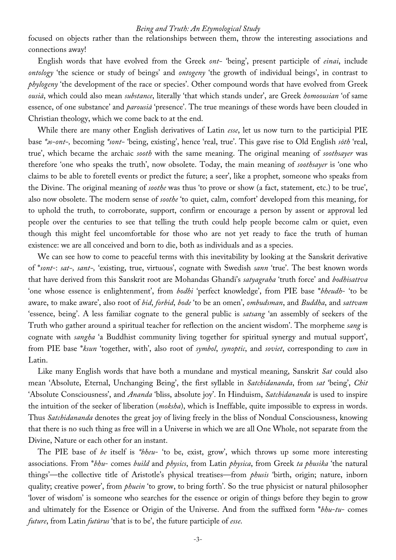focused on objects rather than the relationships between them, throw the interesting associations and connections away!

English words that have evolved from the Greek *ont-* 'being', present participle of *einai*, include *ontology* 'the science or study of beings' and *ontogeny* 'the growth of individual beings', in contrast to *phylogeny* 'the development of the race or species'. Other compound words that have evolved from Greek *ousiā*, which could also mean *substance*, literally 'that which stands under', are Greek *homoousian* 'of same essence, of one substance' and *parousiā* 'presence'. The true meanings of these words have been clouded in Christian theology, which we come back to at the end.

While there are many other English derivatives of Latin *esse*, let us now turn to the participial PIE base *\**e*s-ont-,* becoming *\*sont-* 'being, existing', hence 'real, true'. This gave rise to Old English *sōth* 'real, true', which became the archaic *sooth* with the same meaning. The original meaning of *soothsayer* was therefore 'one who speaks the truth', now obsolete. Today, the main meaning of *soothsayer* is 'one who claims to be able to foretell events or predict the future; a seer', like a prophet, someone who speaks from the Divine. The original meaning of *soothe* was thus 'to prove or show (a fact, statement, etc.) to be true', also now obsolete. The modern sense of *soothe* 'to quiet, calm, comfort' developed from this meaning, for to uphold the truth, to corroborate, support, confirm or encourage a person by assent or approval led people over the centuries to see that telling the truth could help people become calm or quiet, even though this might feel uncomfortable for those who are not yet ready to face the truth of human existence: we are all conceived and born to die, both as individuals and as a species.

We can see how to come to peaceful terms with this inevitability by looking at the Sanskrit derivative of \**sont*-: *sat-, sant-,* 'existing, true, virtuous', cognate with Swedish *sann* 'true'. The best known words that have derived from this Sanskrit root are Mohandas Ghandi's *satyagraha* 'truth force' and *bodhisattva* 'one whose essence is enlightenment', from *bodhi* 'perfect knowledge', from PIE base \**bheudh*- 'to be aware, to make aware', also root of *bid*, *forbid*, *bode* 'to be an omen', *ombudsman*, and *Buddha*, and *sattvam* 'essence, being'. A less familiar cognate to the general public is *satsang* 'an assembly of seekers of the Truth who gather around a spiritual teacher for reflection on the ancient wisdom'. The morpheme *sang* is cognate with *sangha* 'a Buddhist community living together for spiritual synergy and mutual support', from PIE base \**ksun* 'together, with', also root of *symbol*, *synoptic*, and *soviet*, corresponding to *cum* in Latin.

Like many English words that have both a mundane and mystical meaning, Sanskrit *Sat* could also mean 'Absolute, Eternal, Unchanging Being', the first syllable in *Satchidananda*, from *sat* 'being', *Chit* 'Absolute Consciousness', and *Ananda* 'bliss, absolute joy'. In Hinduism, *Satchidananda* is used to inspire the intuition of the seeker of liberation (*moksha*), which is Ineffable, quite impossible to express in words. Thus *Satchidananda* denotes the great joy of living freely in the bliss of Nondual Consciousness, knowing that there is no such thing as free will in a Universe in which we are all One Whole, not separate from the Divine, Nature or each other for an instant.

The PIE base of *be* itself is *\*bheu*- 'to be, exist, grow', which throws up some more interesting associations. From \**bhu*- comes *build* and *physics*, from Latin *physica*, from Greek *ta phusika* 'the natural things'—the collective title of Aristotle's physical treatises—from *phusis* 'birth, origin; nature, inborn quality; creative power', from *phuein* 'to grow, to bring forth'. So the true physicist or natural philosopher 'lover of wisdom' is someone who searches for the essence or origin of things before they begin to grow and ultimately for the Essence or Origin of the Universe. And from the suffixed form \**bhu*-*tu*- comes *future*, from Latin *futūrus* 'that is to be', the future participle of *esse*.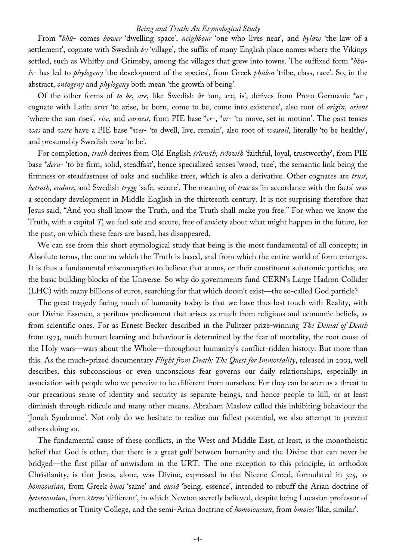From \**bhū*- comes *bower* 'dwelling space', *neighbour* 'one who lives near', and *bylaw* 'the law of a settlement', cognate with Swedish *by* 'village', the suffix of many English place names where the Vikings settled, such as Whitby and Grimsby, among the villages that grew into towns. The suffixed form \**bhūlo*- has led to *phylogeny* 'the development of the species', from Greek *phūlon* 'tribe, class, race'. So, in the abstract, *ontogeny* and *phylogeny* both mean 'the growth of being'.

Of the other forms of *to be*, *are*, like Swedish *är* 'am, are, is', derives from Proto-Germanic \**ar*-, cognate with Latin *orīrī* 'to arise, be born, come to be, come into existence', also root of *origin*, *orient* 'where the sun rises', *rise*, and *earnest*, from PIE base \**er*-, \**or*- 'to move, set in motion'. The past tenses *was* and *were* have a PIE base \**wes*- 'to dwell, live, remain', also root of *wassail*, literally 'to be healthy', and presumably Swedish *vara* 'to be'.

For completion, *truth* derives from Old English *trīewth*, *trēowth* 'faithful, loyal, trustworthy', from PIE base \**deru*- 'to be firm, solid, steadfast', hence specialized senses 'wood, tree', the semantic link being the firmness or steadfastness of oaks and suchlike trees, which is also a derivative. Other cognates are *trust*, *betroth*, *endure*, and Swedish *trygg* 'safe, secure'. The meaning of *true* as 'in accordance with the facts' was a secondary development in Middle English in the thirteenth century. It is not surprising therefore that Jesus said, "And you shall know the Truth, and the Truth shall make you free." For when we know the Truth, with a capital *T*, we feel safe and secure, free of anxiety about what might happen in the future, for the past, on which these fears are based, has disappeared.

We can see from this short etymological study that being is the most fundamental of all concepts; in Absolute terms, the one on which the Truth is based, and from which the entire world of form emerges. It is thus a fundamental misconception to believe that atoms, or their constituent subatomic particles, are the basic building blocks of the Universe. So why do governments fund CERN's Large Hadron Collider (LHC) with many billions of euros, searching for that which doesn't exist—the so-called God particle?

The great tragedy facing much of humanity today is that we have thus lost touch with Reality, with our Divine Essence, a perilous predicament that arises as much from religious and economic beliefs, as from scientific ones. For as Ernest Becker described in the Pulitzer prize-winning *The Denial of Death* from 1973, much human learning and behaviour is determined by the fear of mortality, the root cause of the Holy wars—wars about the Whole—throughout humanity's conflict-ridden history. But more than this. As the much-prized documentary *Flight from Death: The Quest for Immortality*, released in 2003, well describes, this subconscious or even unconscious fear governs our daily relationships, especially in association with people who we perceive to be different from ourselves. For they can be seen as a threat to our precarious sense of identity and security as separate beings, and hence people to kill, or at least diminish through ridicule and many other means. Abraham Maslow called this inhibiting behaviour the 'Jonah Syndrome'. Not only do we hesitate to realize our fullest potential, we also attempt to prevent others doing so.

The fundamental cause of these conflicts, in the West and Middle East, at least, is the monotheistic belief that God is other, that there is a great gulf between humanity and the Divine that can never be bridged—the first pillar of unwisdom in the URT. The one exception to this principle, in orthodox Christianity, is that Jesus, alone, was Divine, expressed in the Nicene Creed, formulated in 325, as *homoousian*, from Greek ó*mos* 'same' and *ousiā* 'being, essence', intended to rebuff the Arian doctrine of *heteroousian*, from é*teros* 'different', in which Newton secretly believed, despite being Lucasian professor of mathematics at Trinity College, and the semi-Arian doctrine of *homoiousian*, from ó*moios* 'like, similar'.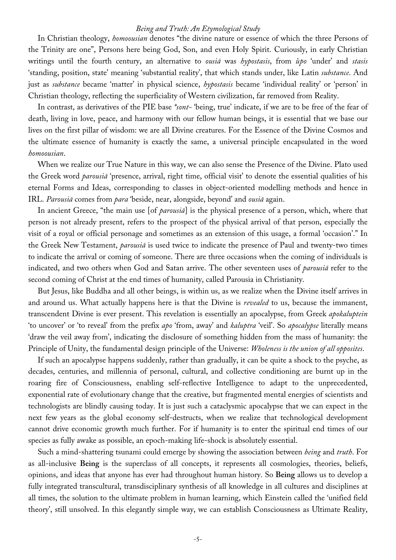In Christian theology, *homoousian* denotes "the divine nature or essence of which the three Persons of the Trinity are one", Persons here being God, Son, and even Holy Spirit. Curiously, in early Christian writings until the fourth century, an alternative to *ousiā* was *hypostasis*, from ú*po* 'under' and *stasis* 'standing, position, state' meaning 'substantial reality', that which stands under, like Latin *substance*. And just as *substance* became 'matter' in physical science, *hypostasis* became 'individual reality' or 'person' in Christian theology, reflecting the superficiality of Western civilization, far removed from Reality.

In contrast, as derivatives of the PIE base *\*sont-* 'being, true' indicate, if we are to be free of the fear of death, living in love, peace, and harmony with our fellow human beings, it is essential that we base our lives on the first pillar of wisdom: we are all Divine creatures. For the Essence of the Divine Cosmos and the ultimate essence of humanity is exactly the same, a universal principle encapsulated in the word *homoousian*.

When we realize our True Nature in this way, we can also sense the Presence of the Divine. Plato used the Greek word *parousiā* 'presence, arrival, right time, official visit' to denote the essential qualities of his eternal Forms and Ideas, corresponding to classes in object-oriented modelling methods and hence in IRL. *Parousiā* comes from *para* 'beside, near, alongside, beyond' and *ousiā* again.

In ancient Greece, "the main use [of *parousiā*] is the physical presence of a person, which, where that person is not already present, refers to the prospect of the physical arrival of that person, especially the visit of a royal or official personage and sometimes as an extension of this usage, a formal 'occasion'." In the Greek New Testament, *parousiā* is used twice to indicate the presence of Paul and twenty-two times to indicate the arrival or coming of someone. There are three occasions when the coming of individuals is indicated, and two others when God and Satan arrive. The other seventeen uses of *parousiā* refer to the second coming of Christ at the end times of humanity, called Parousia in Christianity.

But Jesus, like Buddha and all other beings, is within us, as we realize when the Divine itself arrives in and around us. What actually happens here is that the Divine is *revealed* to us, because the immanent, transcendent Divine is ever present. This revelation is essentially an apocalypse, from Greek *apokaluptein* 'to uncover' or 'to reveal' from the prefix *apo* 'from, away' and *kaluptra* 'veil'. So *apocalypse* literally means 'draw the veil away from', indicating the disclosure of something hidden from the mass of humanity: the Principle of Unity, the fundamental design principle of the Universe: *Wholeness is the union of all opposites*.

If such an apocalypse happens suddenly, rather than gradually, it can be quite a shock to the psyche, as decades, centuries, and millennia of personal, cultural, and collective conditioning are burnt up in the roaring fire of Consciousness, enabling self-reflective Intelligence to adapt to the unprecedented, exponential rate of evolutionary change that the creative, but fragmented mental energies of scientists and technologists are blindly causing today. It is just such a cataclysmic apocalypse that we can expect in the next few years as the global economy self-destructs, when we realize that technological development cannot drive economic growth much further. For if humanity is to enter the spiritual end times of our species as fully awake as possible, an epoch-making life-shock is absolutely essential.

Such a mind-shattering tsunami could emerge by showing the association between *being* and *truth*. For as all-inclusive **Being** is the superclass of all concepts, it represents all cosmologies, theories, beliefs, opinions, and ideas that anyone has ever had throughout human history. So **Being** allows us to develop a fully integrated transcultural, transdisciplinary synthesis of all knowledge in all cultures and disciplines at all times, the solution to the ultimate problem in human learning, which Einstein called the 'unified field theory', still unsolved. In this elegantly simple way, we can establish Consciousness as Ultimate Reality,